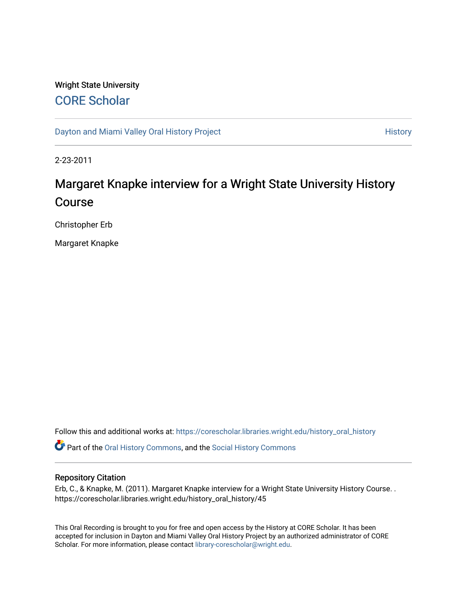# Wright State University [CORE Scholar](https://corescholar.libraries.wright.edu/)

[Dayton and Miami Valley Oral History Project](https://corescholar.libraries.wright.edu/history_oral_history) **History** History

2-23-2011

# Margaret Knapke interview for a Wright State University History Course

Christopher Erb

Margaret Knapke

Follow this and additional works at: [https://corescholar.libraries.wright.edu/history\\_oral\\_history](https://corescholar.libraries.wright.edu/history_oral_history?utm_source=corescholar.libraries.wright.edu%2Fhistory_oral_history%2F45&utm_medium=PDF&utm_campaign=PDFCoverPages) 

Part of the [Oral History Commons](http://network.bepress.com/hgg/discipline/1195?utm_source=corescholar.libraries.wright.edu%2Fhistory_oral_history%2F45&utm_medium=PDF&utm_campaign=PDFCoverPages), and the [Social History Commons](http://network.bepress.com/hgg/discipline/506?utm_source=corescholar.libraries.wright.edu%2Fhistory_oral_history%2F45&utm_medium=PDF&utm_campaign=PDFCoverPages)

#### Repository Citation

Erb, C., & Knapke, M. (2011). Margaret Knapke interview for a Wright State University History Course. . https://corescholar.libraries.wright.edu/history\_oral\_history/45

This Oral Recording is brought to you for free and open access by the History at CORE Scholar. It has been accepted for inclusion in Dayton and Miami Valley Oral History Project by an authorized administrator of CORE Scholar. For more information, please contact [library-corescholar@wright.edu](mailto:library-corescholar@wright.edu).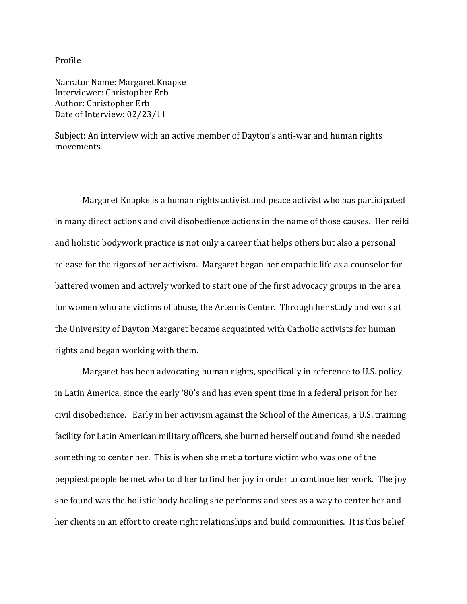Profile

Narrator Name: Margaret Knapke Interviewer: Christopher Erb Author: Christopher Erb Date of Interview: 02/23/11

Subject: An interview with an active member of Dayton's anti-war and human rights movements.

Margaret Knapke is a human rights activist and peace activist who has participated in many direct actions and civil disobedience actions in the name of those causes. Her reiki and holistic bodywork practice is not only a career that helps others but also a personal release for the rigors of her activism. Margaret began her empathic life as a counselor for battered women and actively worked to start one of the first advocacy groups in the area for women who are victims of abuse, the Artemis Center. Through her study and work at the University of Dayton Margaret became acquainted with Catholic activists for human rights and began working with them.

Margaret has been advocating human rights, specifically in reference to U.S. policy in Latin America, since the early '80's and has even spent time in a federal prison for her civil disobedience. Early in her activism against the School of the Americas, a U.S. training facility for Latin American military officers, she burned herself out and found she needed something to center her. This is when she met a torture victim who was one of the peppiest people he met who told her to find her joy in order to continue her work. The joy she found was the holistic body healing she performs and sees as a way to center her and her clients in an effort to create right relationships and build communities. It is this belief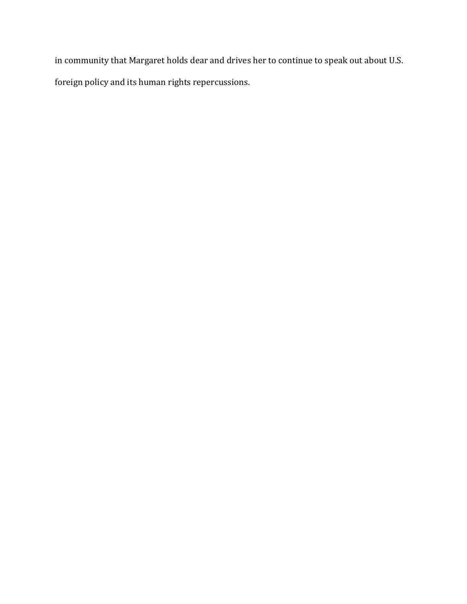in community that Margaret holds dear and drives her to continue to speak out about U.S. foreign policy and its human rights repercussions.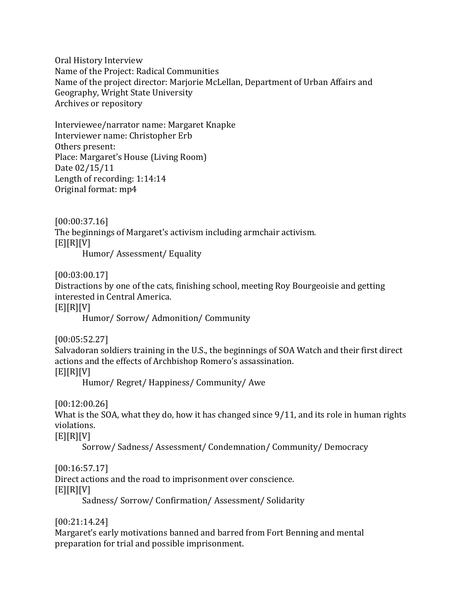Oral History Interview Name of the Project: Radical Communities Name of the project director: Marjorie McLellan, Department of Urban Affairs and Geography, Wright State University Archives or repository

Interviewee/narrator name: Margaret Knapke Interviewer name: Christopher Erb Others present: Place: Margaret's House (Living Room) Date 02/15/11 Length of recording: 1:14:14 Original format: mp4

[00:00:37.16] The beginnings of Margaret's activism including armchair activism.  $[E][R][V]$ 

Humor/ Assessment/ Equality

[00:03:00.17]

Distractions by one of the cats, finishing school, meeting Roy Bourgeoisie and getting interested in Central America.

 $[E][R][V]$ 

Humor/ Sorrow/ Admonition/ Community

[00:05:52.27]

Salvadoran soldiers training in the U.S., the beginnings of SOA Watch and their first direct actions and the effects of Archbishop Romero's assassination.  $[E][R][V]$ 

Humor/ Regret/ Happiness/ Community/ Awe

[00:12:00.26]

What is the SOA, what they do, how it has changed since 9/11, and its role in human rights violations.

 $[E][R][V]$ 

Sorrow/ Sadness/ Assessment/ Condemnation/ Community/ Democracy

[00:16:57.17]

Direct actions and the road to imprisonment over conscience.  $[E][R][V]$ 

Sadness/ Sorrow/ Confirmation/ Assessment/ Solidarity

[00:21:14.24]

Margaret's early motivations banned and barred from Fort Benning and mental preparation for trial and possible imprisonment.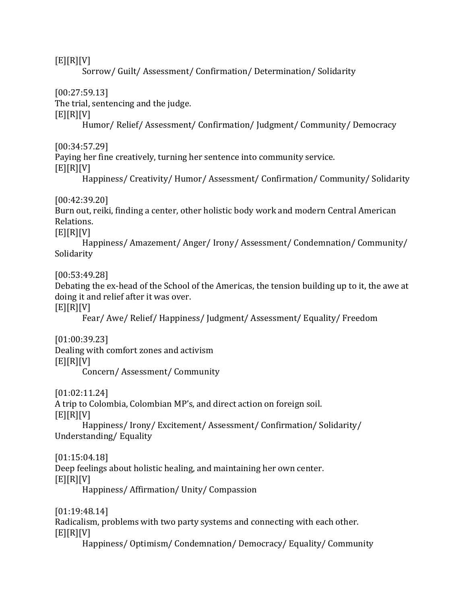$[E][R][V]$ 

Sorrow/ Guilt/ Assessment/ Confirmation/ Determination/ Solidarity

[00:27:59.13]

The trial, sentencing and the judge.

 $[E][R][V]$ 

Humor/ Relief/ Assessment/ Confirmation/ Judgment/ Community/ Democracy

[00:34:57.29]

Paying her fine creatively, turning her sentence into community service.

 $[E][R][V]$ 

Happiness/ Creativity/ Humor/ Assessment/ Confirmation/ Community/ Solidarity

[00:42:39.20]

Burn out, reiki, finding a center, other holistic body work and modern Central American Relations.

 $[E][R][V]$ 

Happiness/ Amazement/ Anger/ Irony/ Assessment/ Condemnation/ Community/ Solidarity

[00:53:49.28]

Debating the ex-head of the School of the Americas, the tension building up to it, the awe at doing it and relief after it was over.

 $[E][R][V]$ 

Fear/ Awe/ Relief/ Happiness/ Judgment/ Assessment/ Equality/ Freedom

[01:00:39.23]

Dealing with comfort zones and activism  $[E][R][V]$ 

Concern/ Assessment/ Community

[01:02:11.24]

A trip to Colombia, Colombian MP's, and direct action on foreign soil.  $[E][R][V]$ 

Happiness/ Irony/ Excitement/ Assessment/ Confirmation/ Solidarity/ Understanding/ Equality

[01:15:04.18] Deep feelings about holistic healing, and maintaining her own center.  $[E][R][V]$ Happiness/ Affirmation/ Unity/ Compassion

[01:19:48.14] Radicalism, problems with two party systems and connecting with each other.  $[E][R][V]$ 

Happiness/ Optimism/ Condemnation/ Democracy/ Equality/ Community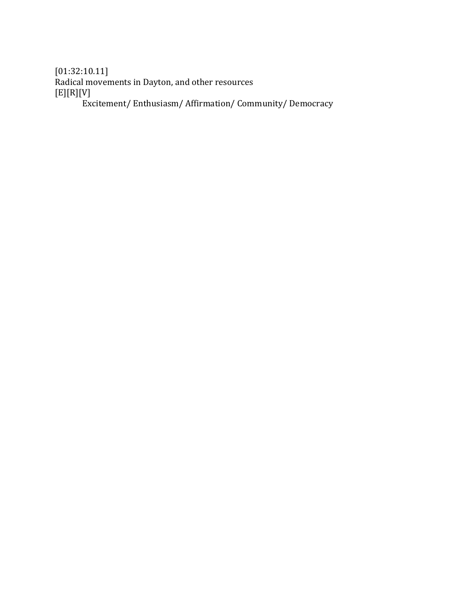[01:32:10.11] Radical movements in Dayton, and other resources [E][R][V] Excitement/ Enthusiasm/ Affirmation/ Community/ Democracy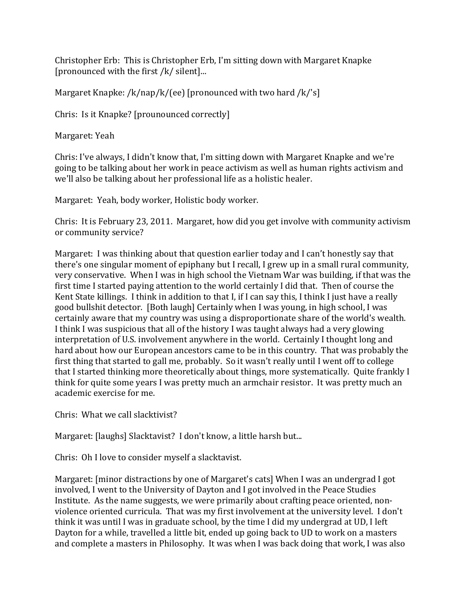Christopher Erb: This is Christopher Erb, I'm sitting down with Margaret Knapke [pronounced with the first /k/ silent]...

Margaret Knapke: /k/nap/k/(ee) [pronounced with two hard /k/'s]

Chris: Is it Knapke? [prounounced correctly]

Margaret: Yeah

Chris: I've always, I didn't know that, I'm sitting down with Margaret Knapke and we're going to be talking about her work in peace activism as well as human rights activism and we'll also be talking about her professional life as a holistic healer.

Margaret: Yeah, body worker, Holistic body worker.

Chris: It is February 23, 2011. Margaret, how did you get involve with community activism or community service?

Margaret: I was thinking about that question earlier today and I can't honestly say that there's one singular moment of epiphany but I recall, I grew up in a small rural community, very conservative. When I was in high school the Vietnam War was building, if that was the first time I started paying attention to the world certainly I did that. Then of course the Kent State killings. I think in addition to that I, if I can say this, I think I just have a really good bullshit detector. [Both laugh] Certainly when I was young, in high school, I was certainly aware that my country was using a disproportionate share of the world's wealth. I think I was suspicious that all of the history I was taught always had a very glowing interpretation of U.S. involvement anywhere in the world. Certainly I thought long and hard about how our European ancestors came to be in this country. That was probably the first thing that started to gall me, probably. So it wasn't really until I went off to college that I started thinking more theoretically about things, more systematically. Quite frankly I think for quite some years I was pretty much an armchair resistor. It was pretty much an academic exercise for me.

Chris: What we call slacktivist?

Margaret: [laughs] Slacktavist? I don't know, a little harsh but...

Chris: Oh I love to consider myself a slacktavist.

Margaret: [minor distractions by one of Margaret's cats] When I was an undergrad I got involved, I went to the University of Dayton and I got involved in the Peace Studies Institute. As the name suggests, we were primarily about crafting peace oriented, nonviolence oriented curricula. That was my first involvement at the university level. I don't think it was until I was in graduate school, by the time I did my undergrad at UD, I left Dayton for a while, travelled a little bit, ended up going back to UD to work on a masters and complete a masters in Philosophy. It was when I was back doing that work, I was also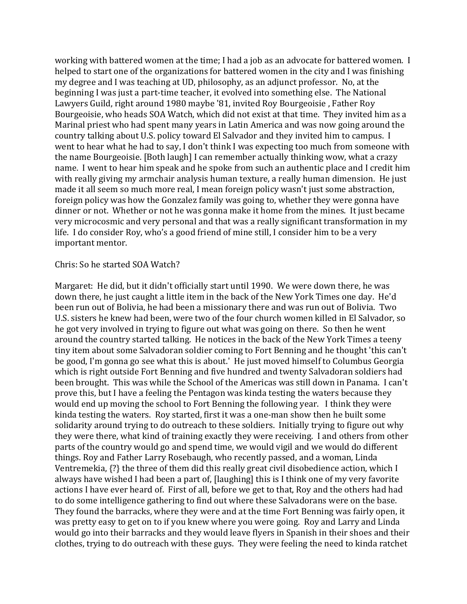working with battered women at the time; I had a job as an advocate for battered women. I helped to start one of the organizations for battered women in the city and I was finishing my degree and I was teaching at UD, philosophy, as an adjunct professor. No, at the beginning I was just a part-time teacher, it evolved into something else. The National Lawyers Guild, right around 1980 maybe '81, invited Roy Bourgeoisie , Father Roy Bourgeoisie, who heads SOA Watch, which did not exist at that time. They invited him as a Marinal priest who had spent many years in Latin America and was now going around the country talking about U.S. policy toward El Salvador and they invited him to campus. I went to hear what he had to say, I don't think I was expecting too much from someone with the name Bourgeoisie. [Both laugh] I can remember actually thinking wow, what a crazy name. I went to hear him speak and he spoke from such an authentic place and I credit him with really giving my armchair analysis human texture, a really human dimension. He just made it all seem so much more real, I mean foreign policy wasn't just some abstraction, foreign policy was how the Gonzalez family was going to, whether they were gonna have dinner or not. Whether or not he was gonna make it home from the mines. It just became very microcosmic and very personal and that was a really significant transformation in my life. I do consider Roy, who's a good friend of mine still, I consider him to be a very important mentor.

#### Chris: So he started SOA Watch?

Margaret: He did, but it didn't officially start until 1990. We were down there, he was down there, he just caught a little item in the back of the New York Times one day. He'd been run out of Bolivia, he had been a missionary there and was run out of Bolivia. Two U.S. sisters he knew had been, were two of the four church women killed in El Salvador, so he got very involved in trying to figure out what was going on there. So then he went around the country started talking. He notices in the back of the New York Times a teeny tiny item about some Salvadoran soldier coming to Fort Benning and he thought 'this can't be good, I'm gonna go see what this is about.' He just moved himself to Columbus Georgia which is right outside Fort Benning and five hundred and twenty Salvadoran soldiers had been brought. This was while the School of the Americas was still down in Panama. I can't prove this, but I have a feeling the Pentagon was kinda testing the waters because they would end up moving the school to Fort Benning the following year. I think they were kinda testing the waters. Roy started, first it was a one-man show then he built some solidarity around trying to do outreach to these soldiers. Initially trying to figure out why they were there, what kind of training exactly they were receiving. I and others from other parts of the country would go and spend time, we would vigil and we would do different things. Roy and Father Larry Rosebaugh, who recently passed, and a woman, Linda Ventremekia, {?} the three of them did this really great civil disobedience action, which I always have wished I had been a part of, [laughing] this is I think one of my very favorite actions I have ever heard of. First of all, before we get to that, Roy and the others had had to do some intelligence gathering to find out where these Salvadorans were on the base. They found the barracks, where they were and at the time Fort Benning was fairly open, it was pretty easy to get on to if you knew where you were going. Roy and Larry and Linda would go into their barracks and they would leave flyers in Spanish in their shoes and their clothes, trying to do outreach with these guys. They were feeling the need to kinda ratchet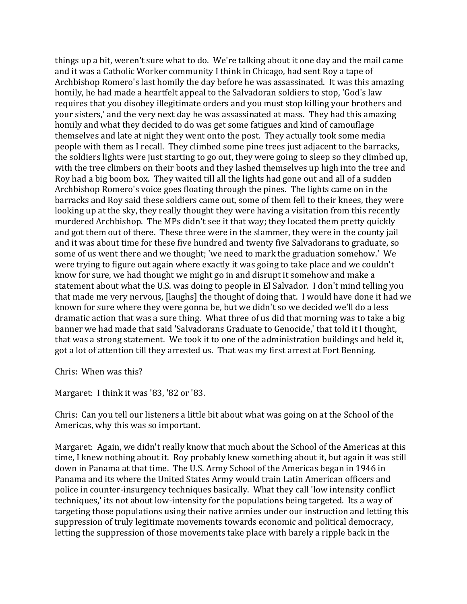things up a bit, weren't sure what to do. We're talking about it one day and the mail came and it was a Catholic Worker community I think in Chicago, had sent Roy a tape of Archbishop Romero's last homily the day before he was assassinated. It was this amazing homily, he had made a heartfelt appeal to the Salvadoran soldiers to stop, 'God's law requires that you disobey illegitimate orders and you must stop killing your brothers and your sisters,' and the very next day he was assassinated at mass. They had this amazing homily and what they decided to do was get some fatigues and kind of camouflage themselves and late at night they went onto the post. They actually took some media people with them as I recall. They climbed some pine trees just adjacent to the barracks, the soldiers lights were just starting to go out, they were going to sleep so they climbed up, with the tree climbers on their boots and they lashed themselves up high into the tree and Roy had a big boom box. They waited till all the lights had gone out and all of a sudden Archbishop Romero's voice goes floating through the pines. The lights came on in the barracks and Roy said these soldiers came out, some of them fell to their knees, they were looking up at the sky, they really thought they were having a visitation from this recently murdered Archbishop. The MPs didn't see it that way; they located them pretty quickly and got them out of there. These three were in the slammer, they were in the county jail and it was about time for these five hundred and twenty five Salvadorans to graduate, so some of us went there and we thought; 'we need to mark the graduation somehow.' We were trying to figure out again where exactly it was going to take place and we couldn't know for sure, we had thought we might go in and disrupt it somehow and make a statement about what the U.S. was doing to people in El Salvador. I don't mind telling you that made me very nervous, [laughs] the thought of doing that. I would have done it had we known for sure where they were gonna be, but we didn't so we decided we'll do a less dramatic action that was a sure thing. What three of us did that morning was to take a big banner we had made that said 'Salvadorans Graduate to Genocide,' that told it I thought, that was a strong statement. We took it to one of the administration buildings and held it, got a lot of attention till they arrested us. That was my first arrest at Fort Benning.

Chris: When was this?

Margaret: I think it was '83, '82 or '83.

Chris: Can you tell our listeners a little bit about what was going on at the School of the Americas, why this was so important.

Margaret: Again, we didn't really know that much about the School of the Americas at this time, I knew nothing about it. Roy probably knew something about it, but again it was still down in Panama at that time. The U.S. Army School of the Americas began in 1946 in Panama and its where the United States Army would train Latin American officers and police in counter-insurgency techniques basically. What they call 'low intensity conflict techniques,' its not about low-intensity for the populations being targeted. Its a way of targeting those populations using their native armies under our instruction and letting this suppression of truly legitimate movements towards economic and political democracy, letting the suppression of those movements take place with barely a ripple back in the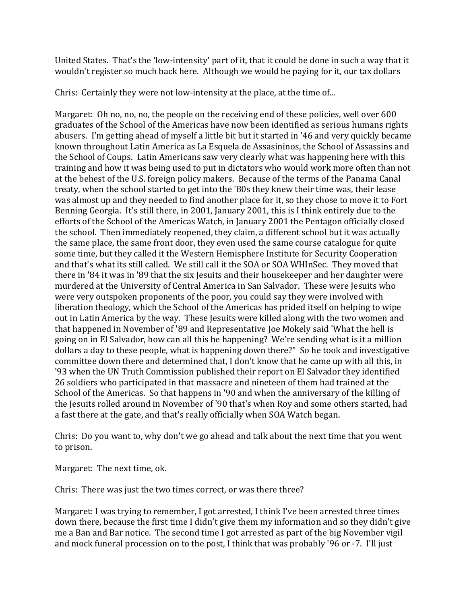United States. That's the 'low-intensity' part of it, that it could be done in such a way that it wouldn't register so much back here. Although we would be paying for it, our tax dollars

Chris: Certainly they were not low-intensity at the place, at the time of...

Margaret: Oh no, no, no, the people on the receiving end of these policies, well over 600 graduates of the School of the Americas have now been identified as serious humans rights abusers. I'm getting ahead of myself a little bit but it started in '46 and very quickly became known throughout Latin America as La Esquela de Assasininos, the School of Assassins and the School of Coups. Latin Americans saw very clearly what was happening here with this training and how it was being used to put in dictators who would work more often than not at the behest of the U.S. foreign policy makers. Because of the terms of the Panama Canal treaty, when the school started to get into the '80s they knew their time was, their lease was almost up and they needed to find another place for it, so they chose to move it to Fort Benning Georgia. It's still there, in 2001, January 2001, this is I think entirely due to the efforts of the School of the Americas Watch, in January 2001 the Pentagon officially closed the school. Then immediately reopened, they claim, a different school but it was actually the same place, the same front door, they even used the same course catalogue for quite some time, but they called it the Western Hemisphere Institute for Security Cooperation and that's what its still called. We still call it the SOA or SOA WHInSec. They moved that there in '84 it was in '89 that the six Jesuits and their housekeeper and her daughter were murdered at the University of Central America in San Salvador. These were Jesuits who were very outspoken proponents of the poor, you could say they were involved with liberation theology, which the School of the Americas has prided itself on helping to wipe out in Latin America by the way. These Jesuits were killed along with the two women and that happened in November of '89 and Representative Joe Mokely said 'What the hell is going on in El Salvador, how can all this be happening? We're sending what is it a million dollars a day to these people, what is happening down there?" So he took and investigative committee down there and determined that, I don't know that he came up with all this, in '93 when the UN Truth Commission published their report on El Salvador they identified 26 soldiers who participated in that massacre and nineteen of them had trained at the School of the Americas. So that happens in '90 and when the anniversary of the killing of the Jesuits rolled around in November of '90 that's when Roy and some others started, had a fast there at the gate, and that's really officially when SOA Watch began.

Chris: Do you want to, why don't we go ahead and talk about the next time that you went to prison.

Margaret: The next time, ok.

Chris: There was just the two times correct, or was there three?

Margaret: I was trying to remember, I got arrested, I think I've been arrested three times down there, because the first time I didn't give them my information and so they didn't give me a Ban and Bar notice. The second time I got arrested as part of the big November vigil and mock funeral procession on to the post, I think that was probably '96 or -7. I'll just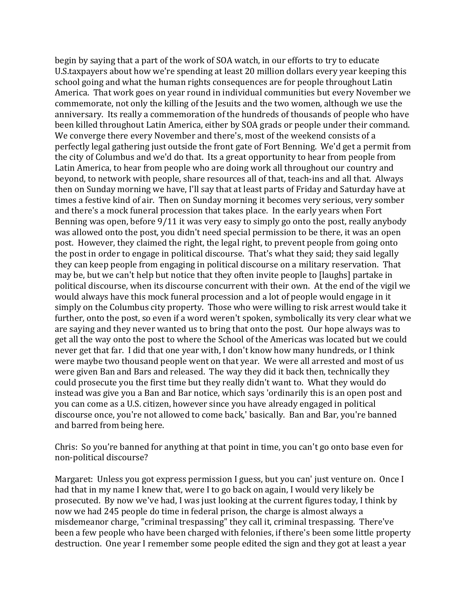begin by saying that a part of the work of SOA watch, in our efforts to try to educate U.S.taxpayers about how we're spending at least 20 million dollars every year keeping this school going and what the human rights consequences are for people throughout Latin America. That work goes on year round in individual communities but every November we commemorate, not only the killing of the Jesuits and the two women, although we use the anniversary. Its really a commemoration of the hundreds of thousands of people who have been killed throughout Latin America, either by SOA grads or people under their command. We converge there every November and there's, most of the weekend consists of a perfectly legal gathering just outside the front gate of Fort Benning. We'd get a permit from the city of Columbus and we'd do that. Its a great opportunity to hear from people from Latin America, to hear from people who are doing work all throughout our country and beyond, to network with people, share resources all of that, teach-ins and all that. Always then on Sunday morning we have, I'll say that at least parts of Friday and Saturday have at times a festive kind of air. Then on Sunday morning it becomes very serious, very somber and there's a mock funeral procession that takes place. In the early years when Fort Benning was open, before 9/11 it was very easy to simply go onto the post, really anybody was allowed onto the post, you didn't need special permission to be there, it was an open post. However, they claimed the right, the legal right, to prevent people from going onto the post in order to engage in political discourse. That's what they said; they said legally they can keep people from engaging in political discourse on a military reservation. That may be, but we can't help but notice that they often invite people to [laughs] partake in political discourse, when its discourse concurrent with their own. At the end of the vigil we would always have this mock funeral procession and a lot of people would engage in it simply on the Columbus city property. Those who were willing to risk arrest would take it further, onto the post, so even if a word weren't spoken, symbolically its very clear what we are saying and they never wanted us to bring that onto the post. Our hope always was to get all the way onto the post to where the School of the Americas was located but we could never get that far. I did that one year with, I don't know how many hundreds, or I think were maybe two thousand people went on that year. We were all arrested and most of us were given Ban and Bars and released. The way they did it back then, technically they could prosecute you the first time but they really didn't want to. What they would do instead was give you a Ban and Bar notice, which says 'ordinarily this is an open post and you can come as a U.S. citizen, however since you have already engaged in political discourse once, you're not allowed to come back,' basically. Ban and Bar, you're banned and barred from being here.

Chris: So you're banned for anything at that point in time, you can't go onto base even for non-political discourse?

Margaret: Unless you got express permission I guess, but you can' just venture on. Once I had that in my name I knew that, were I to go back on again, I would very likely be prosecuted. By now we've had, I was just looking at the current figures today, I think by now we had 245 people do time in federal prison, the charge is almost always a misdemeanor charge, "criminal trespassing" they call it, criminal trespassing. There've been a few people who have been charged with felonies, if there's been some little property destruction. One year I remember some people edited the sign and they got at least a year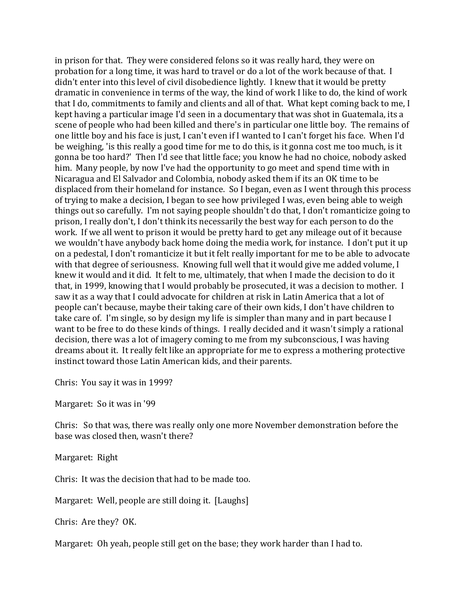in prison for that. They were considered felons so it was really hard, they were on probation for a long time, it was hard to travel or do a lot of the work because of that. I didn't enter into this level of civil disobedience lightly. I knew that it would be pretty dramatic in convenience in terms of the way, the kind of work I like to do, the kind of work that I do, commitments to family and clients and all of that. What kept coming back to me, I kept having a particular image I'd seen in a documentary that was shot in Guatemala, its a scene of people who had been killed and there's in particular one little boy. The remains of one little boy and his face is just, I can't even if I wanted to I can't forget his face. When I'd be weighing, 'is this really a good time for me to do this, is it gonna cost me too much, is it gonna be too hard?' Then I'd see that little face; you know he had no choice, nobody asked him. Many people, by now I've had the opportunity to go meet and spend time with in Nicaragua and El Salvador and Colombia, nobody asked them if its an OK time to be displaced from their homeland for instance. So I began, even as I went through this process of trying to make a decision, I began to see how privileged I was, even being able to weigh things out so carefully. I'm not saying people shouldn't do that, I don't romanticize going to prison, I really don't, I don't think its necessarily the best way for each person to do the work. If we all went to prison it would be pretty hard to get any mileage out of it because we wouldn't have anybody back home doing the media work, for instance. I don't put it up on a pedestal, I don't romanticize it but it felt really important for me to be able to advocate with that degree of seriousness. Knowing full well that it would give me added volume, I knew it would and it did. It felt to me, ultimately, that when I made the decision to do it that, in 1999, knowing that I would probably be prosecuted, it was a decision to mother. I saw it as a way that I could advocate for children at risk in Latin America that a lot of people can't because, maybe their taking care of their own kids, I don't have children to take care of. I'm single, so by design my life is simpler than many and in part because I want to be free to do these kinds of things. I really decided and it wasn't simply a rational decision, there was a lot of imagery coming to me from my subconscious, I was having dreams about it. It really felt like an appropriate for me to express a mothering protective instinct toward those Latin American kids, and their parents.

Chris: You say it was in 1999?

Margaret: So it was in '99

Chris: So that was, there was really only one more November demonstration before the base was closed then, wasn't there?

Margaret: Right

Chris: It was the decision that had to be made too.

Margaret: Well, people are still doing it. [Laughs]

Chris: Are they? OK.

Margaret: Oh yeah, people still get on the base; they work harder than I had to.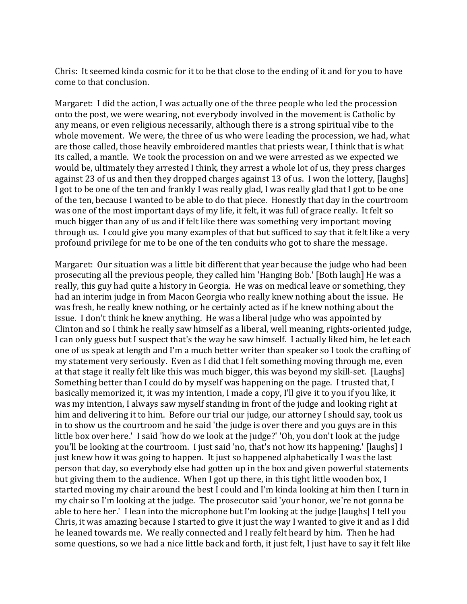Chris: It seemed kinda cosmic for it to be that close to the ending of it and for you to have come to that conclusion.

Margaret: I did the action, I was actually one of the three people who led the procession onto the post, we were wearing, not everybody involved in the movement is Catholic by any means, or even religious necessarily, although there is a strong spiritual vibe to the whole movement. We were, the three of us who were leading the procession, we had, what are those called, those heavily embroidered mantles that priests wear, I think that is what its called, a mantle. We took the procession on and we were arrested as we expected we would be, ultimately they arrested I think, they arrest a whole lot of us, they press charges against 23 of us and then they dropped charges against 13 of us. I won the lottery, [laughs] I got to be one of the ten and frankly I was really glad, I was really glad that I got to be one of the ten, because I wanted to be able to do that piece. Honestly that day in the courtroom was one of the most important days of my life, it felt, it was full of grace really. It felt so much bigger than any of us and if felt like there was something very important moving through us. I could give you many examples of that but sufficed to say that it felt like a very profound privilege for me to be one of the ten conduits who got to share the message.

Margaret: Our situation was a little bit different that year because the judge who had been prosecuting all the previous people, they called him 'Hanging Bob.' [Both laugh] He was a really, this guy had quite a history in Georgia. He was on medical leave or something, they had an interim judge in from Macon Georgia who really knew nothing about the issue. He was fresh, he really knew nothing, or he certainly acted as if he knew nothing about the issue. I don't think he knew anything. He was a liberal judge who was appointed by Clinton and so I think he really saw himself as a liberal, well meaning, rights-oriented judge, I can only guess but I suspect that's the way he saw himself. I actually liked him, he let each one of us speak at length and I'm a much better writer than speaker so I took the crafting of my statement very seriously. Even as I did that I felt something moving through me, even at that stage it really felt like this was much bigger, this was beyond my skill-set. [Laughs] Something better than I could do by myself was happening on the page. I trusted that, I basically memorized it, it was my intention, I made a copy, I'll give it to you if you like, it was my intention, I always saw myself standing in front of the judge and looking right at him and delivering it to him. Before our trial our judge, our attorney I should say, took us in to show us the courtroom and he said 'the judge is over there and you guys are in this little box over here.' I said 'how do we look at the judge?' 'Oh, you don't look at the judge you'll be looking at the courtroom. I just said 'no, that's not how its happening.' [laughs] I just knew how it was going to happen. It just so happened alphabetically I was the last person that day, so everybody else had gotten up in the box and given powerful statements but giving them to the audience. When I got up there, in this tight little wooden box, I started moving my chair around the best I could and I'm kinda looking at him then I turn in my chair so I'm looking at the judge. The prosecutor said 'your honor, we're not gonna be able to here her.' I lean into the microphone but I'm looking at the judge [laughs] I tell you Chris, it was amazing because I started to give it just the way I wanted to give it and as I did he leaned towards me. We really connected and I really felt heard by him. Then he had some questions, so we had a nice little back and forth, it just felt, I just have to say it felt like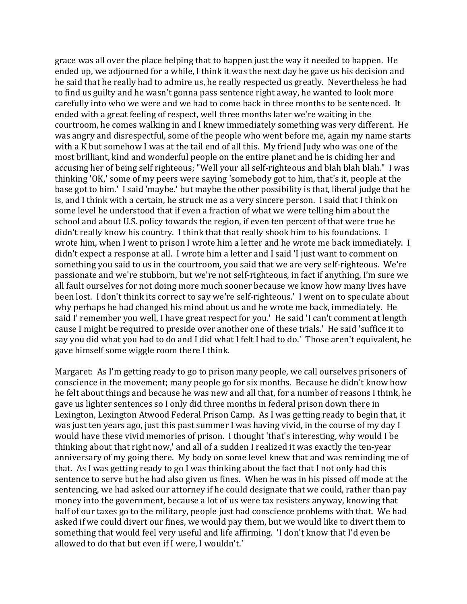grace was all over the place helping that to happen just the way it needed to happen. He ended up, we adjourned for a while, I think it was the next day he gave us his decision and he said that he really had to admire us, he really respected us greatly. Nevertheless he had to find us guilty and he wasn't gonna pass sentence right away, he wanted to look more carefully into who we were and we had to come back in three months to be sentenced. It ended with a great feeling of respect, well three months later we're waiting in the courtroom, he comes walking in and I knew immediately something was very different. He was angry and disrespectful, some of the people who went before me, again my name starts with a K but somehow I was at the tail end of all this. My friend Judy who was one of the most brilliant, kind and wonderful people on the entire planet and he is chiding her and accusing her of being self righteous; "Well your all self-righteous and blah blah blah." I was thinking 'OK,' some of my peers were saying 'somebody got to him, that's it, people at the base got to him.' I said 'maybe.' but maybe the other possibility is that, liberal judge that he is, and I think with a certain, he struck me as a very sincere person. I said that I think on some level he understood that if even a fraction of what we were telling him about the school and about U.S. policy towards the region, if even ten percent of that were true he didn't really know his country. I think that that really shook him to his foundations. I wrote him, when I went to prison I wrote him a letter and he wrote me back immediately. I didn't expect a response at all. I wrote him a letter and I said 'I just want to comment on something you said to us in the courtroom, you said that we are very self-righteous. We're passionate and we're stubborn, but we're not self-righteous, in fact if anything, I'm sure we all fault ourselves for not doing more much sooner because we know how many lives have been lost. I don't think its correct to say we're self-righteous.' I went on to speculate about why perhaps he had changed his mind about us and he wrote me back, immediately. He said I' remember you well, I have great respect for you.' He said 'I can't comment at length cause I might be required to preside over another one of these trials.' He said 'suffice it to say you did what you had to do and I did what I felt I had to do.' Those aren't equivalent, he gave himself some wiggle room there I think.

Margaret: As I'm getting ready to go to prison many people, we call ourselves prisoners of conscience in the movement; many people go for six months. Because he didn't know how he felt about things and because he was new and all that, for a number of reasons I think, he gave us lighter sentences so I only did three months in federal prison down there in Lexington, Lexington Atwood Federal Prison Camp. As I was getting ready to begin that, it was just ten years ago, just this past summer I was having vivid, in the course of my day I would have these vivid memories of prison. I thought 'that's interesting, why would I be thinking about that right now,' and all of a sudden I realized it was exactly the ten-year anniversary of my going there. My body on some level knew that and was reminding me of that. As I was getting ready to go I was thinking about the fact that I not only had this sentence to serve but he had also given us fines. When he was in his pissed off mode at the sentencing, we had asked our attorney if he could designate that we could, rather than pay money into the government, because a lot of us were tax resisters anyway, knowing that half of our taxes go to the military, people just had conscience problems with that. We had asked if we could divert our fines, we would pay them, but we would like to divert them to something that would feel very useful and life affirming. 'I don't know that I'd even be allowed to do that but even if I were, I wouldn't.'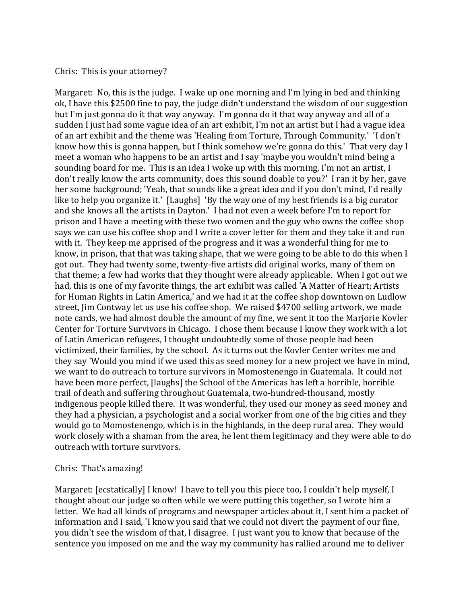## Chris: This is your attorney?

Margaret: No, this is the judge. I wake up one morning and I'm lying in bed and thinking ok, I have this \$2500 fine to pay, the judge didn't understand the wisdom of our suggestion but I'm just gonna do it that way anyway. I'm gonna do it that way anyway and all of a sudden I just had some vague idea of an art exhibit, I'm not an artist but I had a vague idea of an art exhibit and the theme was 'Healing from Torture, Through Community.' 'I don't know how this is gonna happen, but I think somehow we're gonna do this.' That very day I meet a woman who happens to be an artist and I say 'maybe you wouldn't mind being a sounding board for me. This is an idea I woke up with this morning, I'm not an artist, I don't really know the arts community, does this sound doable to you?' I ran it by her, gave her some background; 'Yeah, that sounds like a great idea and if you don't mind, I'd really like to help you organize it.' [Laughs] 'By the way one of my best friends is a big curator and she knows all the artists in Dayton.' I had not even a week before I'm to report for prison and I have a meeting with these two women and the guy who owns the coffee shop says we can use his coffee shop and I write a cover letter for them and they take it and run with it. They keep me apprised of the progress and it was a wonderful thing for me to know, in prison, that that was taking shape, that we were going to be able to do this when I got out. They had twenty some, twenty-five artists did original works, many of them on that theme; a few had works that they thought were already applicable. When I got out we had, this is one of my favorite things, the art exhibit was called 'A Matter of Heart; Artists for Human Rights in Latin America,' and we had it at the coffee shop downtown on Ludlow street, Jim Contway let us use his coffee shop. We raised \$4700 selling artwork, we made note cards, we had almost double the amount of my fine, we sent it too the Marjorie Kovler Center for Torture Survivors in Chicago. I chose them because I know they work with a lot of Latin American refugees, I thought undoubtedly some of those people had been victimized, their families, by the school. As it turns out the Kovler Center writes me and they say 'Would you mind if we used this as seed money for a new project we have in mind, we want to do outreach to torture survivors in Momostenengo in Guatemala. It could not have been more perfect, [laughs] the School of the Americas has left a horrible, horrible trail of death and suffering throughout Guatemala, two-hundred-thousand, mostly indigenous people killed there. It was wonderful, they used our money as seed money and they had a physician, a psychologist and a social worker from one of the big cities and they would go to Momostenengo, which is in the highlands, in the deep rural area. They would work closely with a shaman from the area, he lent them legitimacy and they were able to do outreach with torture survivors.

## Chris: That's amazing!

Margaret: [ecstatically] I know! I have to tell you this piece too, I couldn't help myself, I thought about our judge so often while we were putting this together, so I wrote him a letter. We had all kinds of programs and newspaper articles about it, I sent him a packet of information and I said, 'I know you said that we could not divert the payment of our fine, you didn't see the wisdom of that, I disagree. I just want you to know that because of the sentence you imposed on me and the way my community has rallied around me to deliver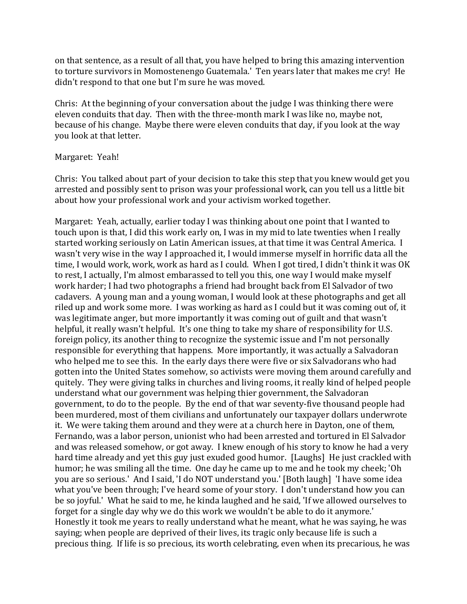on that sentence, as a result of all that, you have helped to bring this amazing intervention to torture survivors in Momostenengo Guatemala.' Ten years later that makes me cry! He didn't respond to that one but I'm sure he was moved.

Chris: At the beginning of your conversation about the judge I was thinking there were eleven conduits that day. Then with the three-month mark I was like no, maybe not, because of his change. Maybe there were eleven conduits that day, if you look at the way you look at that letter.

# Margaret: Yeah!

Chris: You talked about part of your decision to take this step that you knew would get you arrested and possibly sent to prison was your professional work, can you tell us a little bit about how your professional work and your activism worked together.

Margaret: Yeah, actually, earlier today I was thinking about one point that I wanted to touch upon is that, I did this work early on, I was in my mid to late twenties when I really started working seriously on Latin American issues, at that time it was Central America. I wasn't very wise in the way I approached it, I would immerse myself in horrific data all the time, I would work, work, work as hard as I could. When I got tired, I didn't think it was OK to rest, I actually, I'm almost embarassed to tell you this, one way I would make myself work harder; I had two photographs a friend had brought back from El Salvador of two cadavers. A young man and a young woman, I would look at these photographs and get all riled up and work some more. I was working as hard as I could but it was coming out of, it was legitimate anger, but more importantly it was coming out of guilt and that wasn't helpful, it really wasn't helpful. It's one thing to take my share of responsibility for U.S. foreign policy, its another thing to recognize the systemic issue and I'm not personally responsible for everything that happens. More importantly, it was actually a Salvadoran who helped me to see this. In the early days there were five or six Salvadorans who had gotten into the United States somehow, so activists were moving them around carefully and quitely. They were giving talks in churches and living rooms, it really kind of helped people understand what our government was helping thier government, the Salvadoran government, to do to the people. By the end of that war seventy-five thousand people had been murdered, most of them civilians and unfortunately our taxpayer dollars underwrote it. We were taking them around and they were at a church here in Dayton, one of them, Fernando, was a labor person, unionist who had been arrested and tortured in El Salvador and was released somehow, or got away. I knew enough of his story to know he had a very hard time already and yet this guy just exuded good humor. [Laughs] He just crackled with humor; he was smiling all the time. One day he came up to me and he took my cheek; 'Oh you are so serious.' And I said, 'I do NOT understand you.' [Both laugh] 'I have some idea what you've been through; I've heard some of your story. I don't understand how you can be so joyful.' What he said to me, he kinda laughed and he said, 'If we allowed ourselves to forget for a single day why we do this work we wouldn't be able to do it anymore.' Honestly it took me years to really understand what he meant, what he was saying, he was saying; when people are deprived of their lives, its tragic only because life is such a precious thing. If life is so precious, its worth celebrating, even when its precarious, he was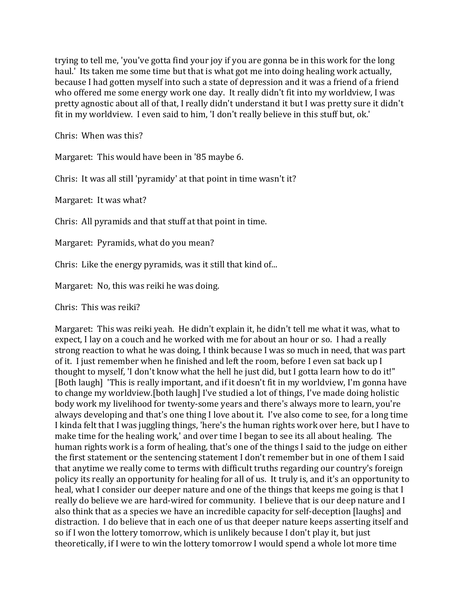trying to tell me, 'you've gotta find your joy if you are gonna be in this work for the long haul.' Its taken me some time but that is what got me into doing healing work actually, because I had gotten myself into such a state of depression and it was a friend of a friend who offered me some energy work one day. It really didn't fit into my worldview, I was pretty agnostic about all of that, I really didn't understand it but I was pretty sure it didn't fit in my worldview. I even said to him, 'I don't really believe in this stuff but, ok.'

Chris: When was this?

Margaret: This would have been in '85 maybe 6.

Chris: It was all still 'pyramidy' at that point in time wasn't it?

Margaret: It was what?

Chris: All pyramids and that stuff at that point in time.

Margaret: Pyramids, what do you mean?

Chris: Like the energy pyramids, was it still that kind of...

Margaret: No, this was reiki he was doing.

Chris: This was reiki?

Margaret: This was reiki yeah. He didn't explain it, he didn't tell me what it was, what to expect, I lay on a couch and he worked with me for about an hour or so. I had a really strong reaction to what he was doing, I think because I was so much in need, that was part of it. I just remember when he finished and left the room, before I even sat back up I thought to myself, 'I don't know what the hell he just did, but I gotta learn how to do it!" [Both laugh] 'This is really important, and if it doesn't fit in my worldview, I'm gonna have to change my worldview.[both laugh] I've studied a lot of things, I've made doing holistic body work my livelihood for twenty-some years and there's always more to learn, you're always developing and that's one thing I love about it. I've also come to see, for a long time I kinda felt that I was juggling things, 'here's the human rights work over here, but I have to make time for the healing work,' and over time I began to see its all about healing. The human rights work is a form of healing, that's one of the things I said to the judge on either the first statement or the sentencing statement I don't remember but in one of them I said that anytime we really come to terms with difficult truths regarding our country's foreign policy its really an opportunity for healing for all of us. It truly is, and it's an opportunity to heal, what I consider our deeper nature and one of the things that keeps me going is that I really do believe we are hard-wired for community. I believe that is our deep nature and I also think that as a species we have an incredible capacity for self-deception [laughs] and distraction. I do believe that in each one of us that deeper nature keeps asserting itself and so if I won the lottery tomorrow, which is unlikely because I don't play it, but just theoretically, if I were to win the lottery tomorrow I would spend a whole lot more time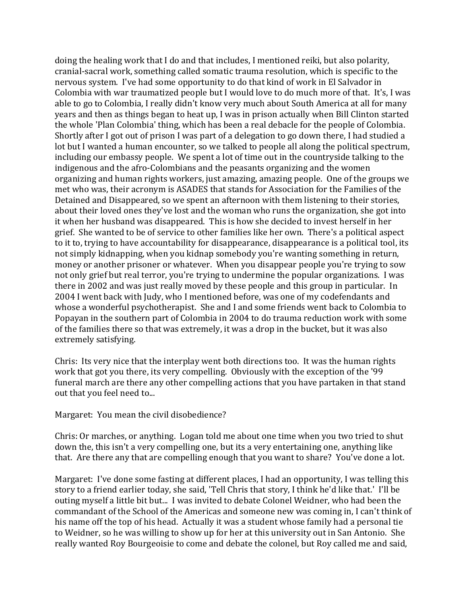doing the healing work that I do and that includes, I mentioned reiki, but also polarity, cranial-sacral work, something called somatic trauma resolution, which is specific to the nervous system. I've had some opportunity to do that kind of work in El Salvador in Colombia with war traumatized people but I would love to do much more of that. It's, I was able to go to Colombia, I really didn't know very much about South America at all for many years and then as things began to heat up, I was in prison actually when Bill Clinton started the whole 'Plan Colombia' thing, which has been a real debacle for the people of Colombia. Shortly after I got out of prison I was part of a delegation to go down there, I had studied a lot but I wanted a human encounter, so we talked to people all along the political spectrum, including our embassy people. We spent a lot of time out in the countryside talking to the indigenous and the afro-Colombians and the peasants organizing and the women organizing and human rights workers, just amazing, amazing people. One of the groups we met who was, their acronym is ASADES that stands for Association for the Families of the Detained and Disappeared, so we spent an afternoon with them listening to their stories, about their loved ones they've lost and the woman who runs the organization, she got into it when her husband was disappeared. This is how she decided to invest herself in her grief. She wanted to be of service to other families like her own. There's a political aspect to it to, trying to have accountability for disappearance, disappearance is a political tool, its not simply kidnapping, when you kidnap somebody you're wanting something in return, money or another prisoner or whatever. When you disappear people you're trying to sow not only grief but real terror, you're trying to undermine the popular organizations. I was there in 2002 and was just really moved by these people and this group in particular. In 2004 I went back with Judy, who I mentioned before, was one of my codefendants and whose a wonderful psychotherapist. She and I and some friends went back to Colombia to Popayan in the southern part of Colombia in 2004 to do trauma reduction work with some of the families there so that was extremely, it was a drop in the bucket, but it was also extremely satisfying.

Chris: Its very nice that the interplay went both directions too. It was the human rights work that got you there, its very compelling. Obviously with the exception of the '99 funeral march are there any other compelling actions that you have partaken in that stand out that you feel need to...

Margaret: You mean the civil disobedience?

Chris: Or marches, or anything. Logan told me about one time when you two tried to shut down the, this isn't a very compelling one, but its a very entertaining one, anything like that. Are there any that are compelling enough that you want to share? You've done a lot.

Margaret: I've done some fasting at different places, I had an opportunity, I was telling this story to a friend earlier today, she said, 'Tell Chris that story, I think he'd like that.' I'll be outing myself a little bit but... I was invited to debate Colonel Weidner, who had been the commandant of the School of the Americas and someone new was coming in, I can't think of his name off the top of his head. Actually it was a student whose family had a personal tie to Weidner, so he was willing to show up for her at this university out in San Antonio. She really wanted Roy Bourgeoisie to come and debate the colonel, but Roy called me and said,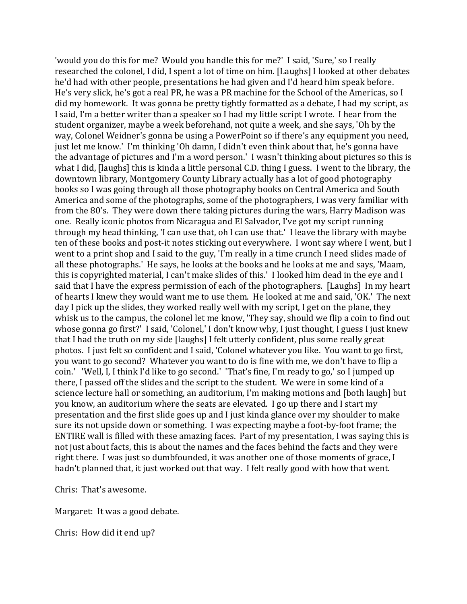'would you do this for me? Would you handle this for me?' I said, 'Sure,' so I really researched the colonel, I did, I spent a lot of time on him. [Laughs] I looked at other debates he'd had with other people, presentations he had given and I'd heard him speak before. He's very slick, he's got a real PR, he was a PR machine for the School of the Americas, so I did my homework. It was gonna be pretty tightly formatted as a debate, I had my script, as I said, I'm a better writer than a speaker so I had my little script I wrote. I hear from the student organizer, maybe a week beforehand, not quite a week, and she says, 'Oh by the way, Colonel Weidner's gonna be using a PowerPoint so if there's any equipment you need, just let me know.' I'm thinking 'Oh damn, I didn't even think about that, he's gonna have the advantage of pictures and I'm a word person.' I wasn't thinking about pictures so this is what I did, [laughs] this is kinda a little personal C.D. thing I guess. I went to the library, the downtown library, Montgomery County Library actually has a lot of good photography books so I was going through all those photography books on Central America and South America and some of the photographs, some of the photographers, I was very familiar with from the 80's. They were down there taking pictures during the wars, Harry Madison was one. Really iconic photos from Nicaragua and El Salvador, I've got my script running through my head thinking, 'I can use that, oh I can use that.' I leave the library with maybe ten of these books and post-it notes sticking out everywhere. I wont say where I went, but I went to a print shop and I said to the guy, 'I'm really in a time crunch I need slides made of all these photographs.' He says, he looks at the books and he looks at me and says, 'Maam, this is copyrighted material, I can't make slides of this.' I looked him dead in the eye and I said that I have the express permission of each of the photographers. [Laughs] In my heart of hearts I knew they would want me to use them. He looked at me and said, 'OK.' The next day I pick up the slides, they worked really well with my script, I get on the plane, they whisk us to the campus, the colonel let me know, 'They say, should we flip a coin to find out whose gonna go first?' I said, 'Colonel,' I don't know why, I just thought, I guess I just knew that I had the truth on my side [laughs] I felt utterly confident, plus some really great photos. I just felt so confident and I said, 'Colonel whatever you like. You want to go first, you want to go second? Whatever you want to do is fine with me, we don't have to flip a coin.' 'Well, I, I think I'd like to go second.' 'That's fine, I'm ready to go,' so I jumped up there, I passed off the slides and the script to the student. We were in some kind of a science lecture hall or something, an auditorium, I'm making motions and [both laugh] but you know, an auditorium where the seats are elevated. I go up there and I start my presentation and the first slide goes up and I just kinda glance over my shoulder to make sure its not upside down or something. I was expecting maybe a foot-by-foot frame; the ENTIRE wall is filled with these amazing faces. Part of my presentation, I was saying this is not just about facts, this is about the names and the faces behind the facts and they were right there. I was just so dumbfounded, it was another one of those moments of grace, I hadn't planned that, it just worked out that way. I felt really good with how that went.

Chris: That's awesome.

Margaret: It was a good debate.

Chris: How did it end up?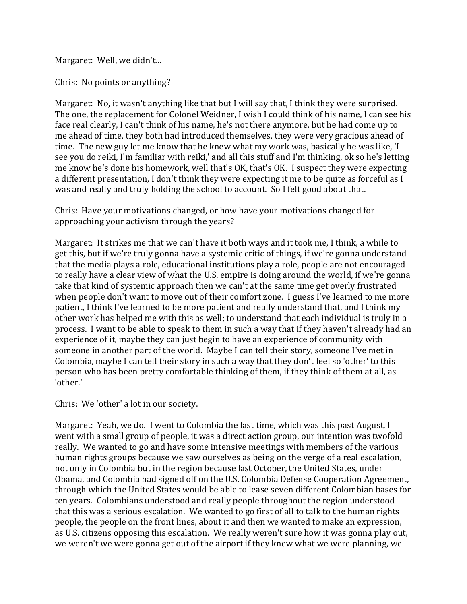Margaret: Well, we didn't...

Chris: No points or anything?

Margaret: No, it wasn't anything like that but I will say that, I think they were surprised. The one, the replacement for Colonel Weidner, I wish I could think of his name, I can see his face real clearly, I can't think of his name, he's not there anymore, but he had come up to me ahead of time, they both had introduced themselves, they were very gracious ahead of time. The new guy let me know that he knew what my work was, basically he was like, 'I see you do reiki, I'm familiar with reiki,' and all this stuff and I'm thinking, ok so he's letting me know he's done his homework, well that's OK, that's OK. I suspect they were expecting a different presentation, I don't think they were expecting it me to be quite as forceful as I was and really and truly holding the school to account. So I felt good about that.

Chris: Have your motivations changed, or how have your motivations changed for approaching your activism through the years?

Margaret: It strikes me that we can't have it both ways and it took me, I think, a while to get this, but if we're truly gonna have a systemic critic of things, if we're gonna understand that the media plays a role, educational institutions play a role, people are not encouraged to really have a clear view of what the U.S. empire is doing around the world, if we're gonna take that kind of systemic approach then we can't at the same time get overly frustrated when people don't want to move out of their comfort zone. I guess I've learned to me more patient, I think I've learned to be more patient and really understand that, and I think my other work has helped me with this as well; to understand that each individual is truly in a process. I want to be able to speak to them in such a way that if they haven't already had an experience of it, maybe they can just begin to have an experience of community with someone in another part of the world. Maybe I can tell their story, someone I've met in Colombia, maybe I can tell their story in such a way that they don't feel so 'other' to this person who has been pretty comfortable thinking of them, if they think of them at all, as 'other.'

Chris: We 'other' a lot in our society.

Margaret: Yeah, we do. I went to Colombia the last time, which was this past August, I went with a small group of people, it was a direct action group, our intention was twofold really. We wanted to go and have some intensive meetings with members of the various human rights groups because we saw ourselves as being on the verge of a real escalation, not only in Colombia but in the region because last October, the United States, under Obama, and Colombia had signed off on the U.S. Colombia Defense Cooperation Agreement, through which the United States would be able to lease seven different Colombian bases for ten years. Colombians understood and really people throughout the region understood that this was a serious escalation. We wanted to go first of all to talk to the human rights people, the people on the front lines, about it and then we wanted to make an expression, as U.S. citizens opposing this escalation. We really weren't sure how it was gonna play out, we weren't we were gonna get out of the airport if they knew what we were planning, we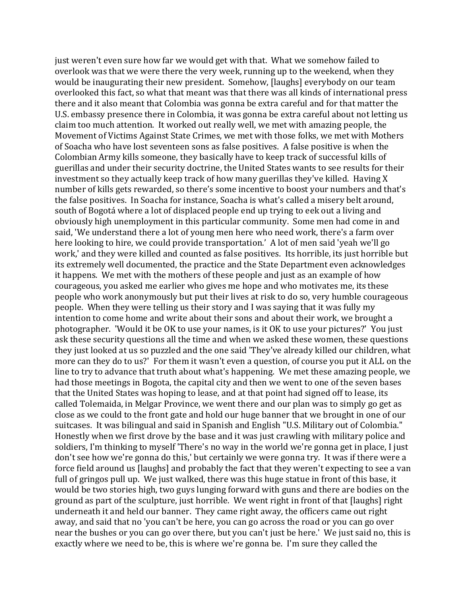just weren't even sure how far we would get with that. What we somehow failed to overlook was that we were there the very week, running up to the weekend, when they would be inaugurating their new president. Somehow, [laughs] everybody on our team overlooked this fact, so what that meant was that there was all kinds of international press there and it also meant that Colombia was gonna be extra careful and for that matter the U.S. embassy presence there in Colombia, it was gonna be extra careful about not letting us claim too much attention. It worked out really well, we met with amazing people, the Movement of Victims Against State Crimes, we met with those folks, we met with Mothers of Soacha who have lost seventeen sons as false positives. A false positive is when the Colombian Army kills someone, they basically have to keep track of successful kills of guerillas and under their security doctrine, the United States wants to see results for their investment so they actually keep track of how many guerillas they've killed. Having X number of kills gets rewarded, so there's some incentive to boost your numbers and that's the false positives. In Soacha for instance, Soacha is what's called a misery belt around, south of Bogotá where a lot of displaced people end up trying to eek out a living and obviously high unemployment in this particular community. Some men had come in and said, 'We understand there a lot of young men here who need work, there's a farm over here looking to hire, we could provide transportation.' A lot of men said 'yeah we'll go work,' and they were killed and counted as false positives. Its horrible, its just horrible but its extremely well documented, the practice and the State Department even acknowledges it happens. We met with the mothers of these people and just as an example of how courageous, you asked me earlier who gives me hope and who motivates me, its these people who work anonymously but put their lives at risk to do so, very humble courageous people. When they were telling us their story and I was saying that it was fully my intention to come home and write about their sons and about their work, we brought a photographer. 'Would it be OK to use your names, is it OK to use your pictures?' You just ask these security questions all the time and when we asked these women, these questions they just looked at us so puzzled and the one said 'They've already killed our children, what more can they do to us?' For them it wasn't even a question, of course you put it ALL on the line to try to advance that truth about what's happening. We met these amazing people, we had those meetings in Bogota, the capital city and then we went to one of the seven bases that the United States was hoping to lease, and at that point had signed off to lease, its called Tolemaida, in Melgar Province, we went there and our plan was to simply go get as close as we could to the front gate and hold our huge banner that we brought in one of our suitcases. It was bilingual and said in Spanish and English "U.S. Military out of Colombia." Honestly when we first drove by the base and it was just crawling with military police and soldiers, I'm thinking to myself 'There's no way in the world we're gonna get in place, I just don't see how we're gonna do this,' but certainly we were gonna try. It was if there were a force field around us [laughs] and probably the fact that they weren't expecting to see a van full of gringos pull up. We just walked, there was this huge statue in front of this base, it would be two stories high, two guys lunging forward with guns and there are bodies on the ground as part of the sculpture, just horrible. We went right in front of that [laughs] right underneath it and held our banner. They came right away, the officers came out right away, and said that no 'you can't be here, you can go across the road or you can go over near the bushes or you can go over there, but you can't just be here.' We just said no, this is exactly where we need to be, this is where we're gonna be. I'm sure they called the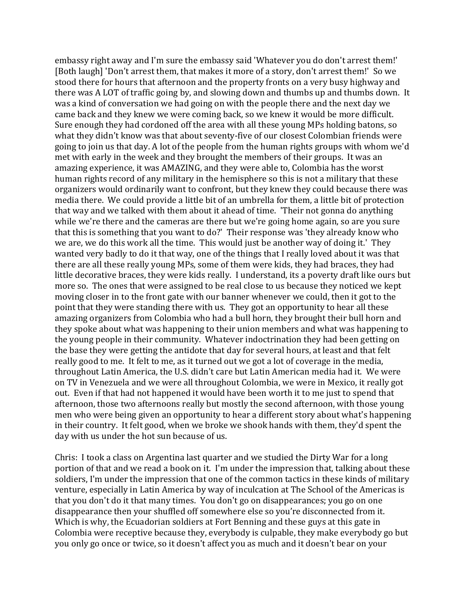embassy right away and I'm sure the embassy said 'Whatever you do don't arrest them!' [Both laugh] 'Don't arrest them, that makes it more of a story, don't arrest them!' So we stood there for hours that afternoon and the property fronts on a very busy highway and there was A LOT of traffic going by, and slowing down and thumbs up and thumbs down. It was a kind of conversation we had going on with the people there and the next day we came back and they knew we were coming back, so we knew it would be more difficult. Sure enough they had cordoned off the area with all these young MPs holding batons, so what they didn't know was that about seventy-five of our closest Colombian friends were going to join us that day. A lot of the people from the human rights groups with whom we'd met with early in the week and they brought the members of their groups. It was an amazing experience, it was AMAZING, and they were able to, Colombia has the worst human rights record of any military in the hemisphere so this is not a military that these organizers would ordinarily want to confront, but they knew they could because there was media there. We could provide a little bit of an umbrella for them, a little bit of protection that way and we talked with them about it ahead of time. 'Their not gonna do anything while we're there and the cameras are there but we're going home again, so are you sure that this is something that you want to do?' Their response was 'they already know who we are, we do this work all the time. This would just be another way of doing it.' They wanted very badly to do it that way, one of the things that I really loved about it was that there are all these really young MPs, some of them were kids, they had braces, they had little decorative braces, they were kids really. I understand, its a poverty draft like ours but more so. The ones that were assigned to be real close to us because they noticed we kept moving closer in to the front gate with our banner whenever we could, then it got to the point that they were standing there with us. They got an opportunity to hear all these amazing organizers from Colombia who had a bull horn, they brought their bull horn and they spoke about what was happening to their union members and what was happening to the young people in their community. Whatever indoctrination they had been getting on the base they were getting the antidote that day for several hours, at least and that felt really good to me. It felt to me, as it turned out we got a lot of coverage in the media, throughout Latin America, the U.S. didn't care but Latin American media had it. We were on TV in Venezuela and we were all throughout Colombia, we were in Mexico, it really got out. Even if that had not happened it would have been worth it to me just to spend that afternoon, those two afternoons really but mostly the second afternoon, with those young men who were being given an opportunity to hear a different story about what's happening in their country. It felt good, when we broke we shook hands with them, they'd spent the day with us under the hot sun because of us.

Chris: I took a class on Argentina last quarter and we studied the Dirty War for a long portion of that and we read a book on it. I'm under the impression that, talking about these soldiers, I'm under the impression that one of the common tactics in these kinds of military venture, especially in Latin America by way of inculcation at The School of the Americas is that you don't do it that many times. You don't go on disappearances; you go on one disappearance then your shuffled off somewhere else so you're disconnected from it. Which is why, the Ecuadorian soldiers at Fort Benning and these guys at this gate in Colombia were receptive because they, everybody is culpable, they make everybody go but you only go once or twice, so it doesn't affect you as much and it doesn't bear on your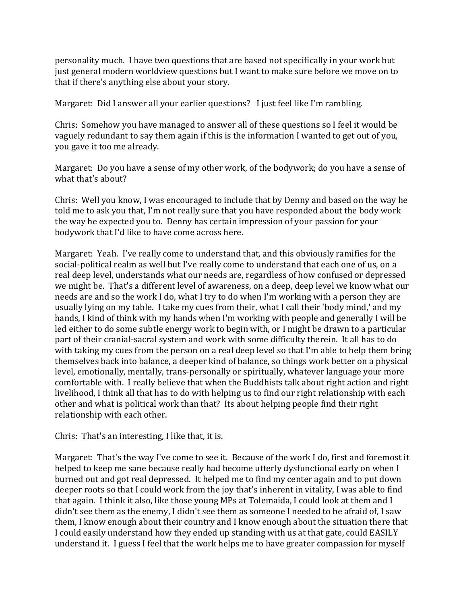personality much. I have two questions that are based not specifically in your work but just general modern worldview questions but I want to make sure before we move on to that if there's anything else about your story.

Margaret: Did I answer all your earlier questions? I just feel like I'm rambling.

Chris: Somehow you have managed to answer all of these questions so I feel it would be vaguely redundant to say them again if this is the information I wanted to get out of you, you gave it too me already.

Margaret: Do you have a sense of my other work, of the bodywork; do you have a sense of what that's about?

Chris: Well you know, I was encouraged to include that by Denny and based on the way he told me to ask you that, I'm not really sure that you have responded about the body work the way he expected you to. Denny has certain impression of your passion for your bodywork that I'd like to have come across here.

Margaret: Yeah. I've really come to understand that, and this obviously ramifies for the social-political realm as well but I've really come to understand that each one of us, on a real deep level, understands what our needs are, regardless of how confused or depressed we might be. That's a different level of awareness, on a deep, deep level we know what our needs are and so the work I do, what I try to do when I'm working with a person they are usually lying on my table. I take my cues from their, what I call their 'body mind,' and my hands, I kind of think with my hands when I'm working with people and generally I will be led either to do some subtle energy work to begin with, or I might be drawn to a particular part of their cranial-sacral system and work with some difficulty therein. It all has to do with taking my cues from the person on a real deep level so that I'm able to help them bring themselves back into balance, a deeper kind of balance, so things work better on a physical level, emotionally, mentally, trans-personally or spiritually, whatever language your more comfortable with. I really believe that when the Buddhists talk about right action and right livelihood, I think all that has to do with helping us to find our right relationship with each other and what is political work than that? Its about helping people find their right relationship with each other.

Chris: That's an interesting, I like that, it is.

Margaret: That's the way I've come to see it. Because of the work I do, first and foremost it helped to keep me sane because really had become utterly dysfunctional early on when I burned out and got real depressed. It helped me to find my center again and to put down deeper roots so that I could work from the joy that's inherent in vitality, I was able to find that again. I think it also, like those young MPs at Tolemaida, I could look at them and I didn't see them as the enemy, I didn't see them as someone I needed to be afraid of, I saw them, I know enough about their country and I know enough about the situation there that I could easily understand how they ended up standing with us at that gate, could EASILY understand it. I guess I feel that the work helps me to have greater compassion for myself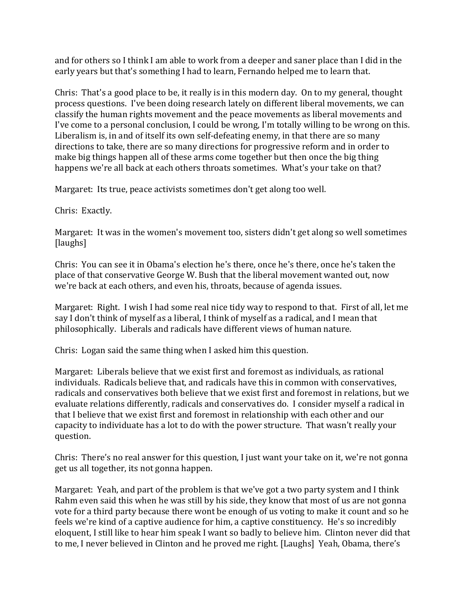and for others so I think I am able to work from a deeper and saner place than I did in the early years but that's something I had to learn, Fernando helped me to learn that.

Chris: That's a good place to be, it really is in this modern day. On to my general, thought process questions. I've been doing research lately on different liberal movements, we can classify the human rights movement and the peace movements as liberal movements and I've come to a personal conclusion, I could be wrong, I'm totally willing to be wrong on this. Liberalism is, in and of itself its own self-defeating enemy, in that there are so many directions to take, there are so many directions for progressive reform and in order to make big things happen all of these arms come together but then once the big thing happens we're all back at each others throats sometimes. What's your take on that?

Margaret: Its true, peace activists sometimes don't get along too well.

Chris: Exactly.

Margaret: It was in the women's movement too, sisters didn't get along so well sometimes [laughs]

Chris: You can see it in Obama's election he's there, once he's there, once he's taken the place of that conservative George W. Bush that the liberal movement wanted out, now we're back at each others, and even his, throats, because of agenda issues.

Margaret: Right. I wish I had some real nice tidy way to respond to that. First of all, let me say I don't think of myself as a liberal, I think of myself as a radical, and I mean that philosophically. Liberals and radicals have different views of human nature.

Chris: Logan said the same thing when I asked him this question.

Margaret: Liberals believe that we exist first and foremost as individuals, as rational individuals. Radicals believe that, and radicals have this in common with conservatives, radicals and conservatives both believe that we exist first and foremost in relations, but we evaluate relations differently, radicals and conservatives do. I consider myself a radical in that I believe that we exist first and foremost in relationship with each other and our capacity to individuate has a lot to do with the power structure. That wasn't really your question.

Chris: There's no real answer for this question, I just want your take on it, we're not gonna get us all together, its not gonna happen.

Margaret: Yeah, and part of the problem is that we've got a two party system and I think Rahm even said this when he was still by his side, they know that most of us are not gonna vote for a third party because there wont be enough of us voting to make it count and so he feels we're kind of a captive audience for him, a captive constituency. He's so incredibly eloquent, I still like to hear him speak I want so badly to believe him. Clinton never did that to me, I never believed in Clinton and he proved me right. [Laughs] Yeah, Obama, there's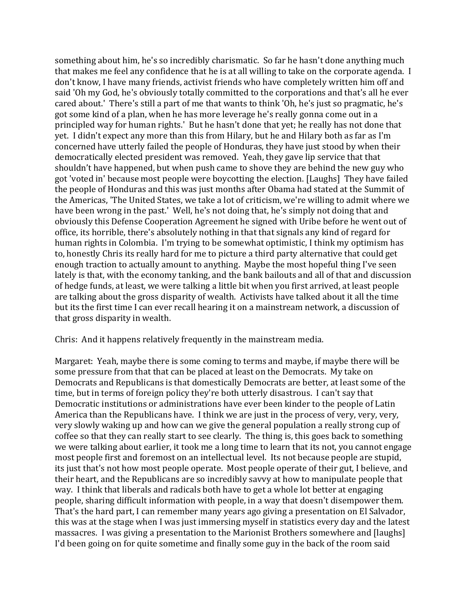something about him, he's so incredibly charismatic. So far he hasn't done anything much that makes me feel any confidence that he is at all willing to take on the corporate agenda. I don't know, I have many friends, activist friends who have completely written him off and said 'Oh my God, he's obviously totally committed to the corporations and that's all he ever cared about.' There's still a part of me that wants to think 'Oh, he's just so pragmatic, he's got some kind of a plan, when he has more leverage he's really gonna come out in a principled way for human rights.' But he hasn't done that yet; he really has not done that yet. I didn't expect any more than this from Hilary, but he and Hilary both as far as I'm concerned have utterly failed the people of Honduras, they have just stood by when their democratically elected president was removed. Yeah, they gave lip service that that shouldn't have happened, but when push came to shove they are behind the new guy who got 'voted in' because most people were boycotting the election. [Laughs] They have failed the people of Honduras and this was just months after Obama had stated at the Summit of the Americas, 'The United States, we take a lot of criticism, we're willing to admit where we have been wrong in the past.' Well, he's not doing that, he's simply not doing that and obviously this Defense Cooperation Agreement he signed with Uribe before he went out of office, its horrible, there's absolutely nothing in that that signals any kind of regard for human rights in Colombia. I'm trying to be somewhat optimistic, I think my optimism has to, honestly Chris its really hard for me to picture a third party alternative that could get enough traction to actually amount to anything. Maybe the most hopeful thing I've seen lately is that, with the economy tanking, and the bank bailouts and all of that and discussion of hedge funds, at least, we were talking a little bit when you first arrived, at least people are talking about the gross disparity of wealth. Activists have talked about it all the time but its the first time I can ever recall hearing it on a mainstream network, a discussion of that gross disparity in wealth.

Chris: And it happens relatively frequently in the mainstream media.

Margaret: Yeah, maybe there is some coming to terms and maybe, if maybe there will be some pressure from that that can be placed at least on the Democrats. My take on Democrats and Republicans is that domestically Democrats are better, at least some of the time, but in terms of foreign policy they're both utterly disastrous. I can't say that Democratic institutions or administrations have ever been kinder to the people of Latin America than the Republicans have. I think we are just in the process of very, very, very, very slowly waking up and how can we give the general population a really strong cup of coffee so that they can really start to see clearly. The thing is, this goes back to something we were talking about earlier, it took me a long time to learn that its not, you cannot engage most people first and foremost on an intellectual level. Its not because people are stupid, its just that's not how most people operate. Most people operate of their gut, I believe, and their heart, and the Republicans are so incredibly savvy at how to manipulate people that way. I think that liberals and radicals both have to get a whole lot better at engaging people, sharing difficult information with people, in a way that doesn't disempower them. That's the hard part, I can remember many years ago giving a presentation on El Salvador, this was at the stage when I was just immersing myself in statistics every day and the latest massacres. I was giving a presentation to the Marionist Brothers somewhere and [laughs] I'd been going on for quite sometime and finally some guy in the back of the room said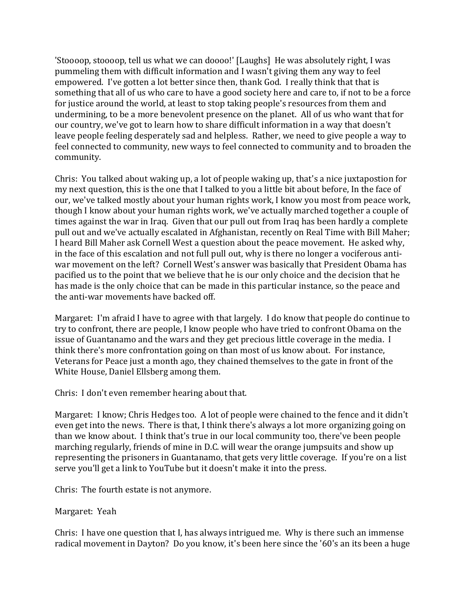'Stoooop, stoooop, tell us what we can doooo!' [Laughs] He was absolutely right, I was pummeling them with difficult information and I wasn't giving them any way to feel empowered. I've gotten a lot better since then, thank God. I really think that that is something that all of us who care to have a good society here and care to, if not to be a force for justice around the world, at least to stop taking people's resources from them and undermining, to be a more benevolent presence on the planet. All of us who want that for our country, we've got to learn how to share difficult information in a way that doesn't leave people feeling desperately sad and helpless. Rather, we need to give people a way to feel connected to community, new ways to feel connected to community and to broaden the community.

Chris: You talked about waking up, a lot of people waking up, that's a nice juxtapostion for my next question, this is the one that I talked to you a little bit about before, In the face of our, we've talked mostly about your human rights work, I know you most from peace work, though I know about your human rights work, we've actually marched together a couple of times against the war in Iraq. Given that our pull out from Iraq has been hardly a complete pull out and we've actually escalated in Afghanistan, recently on Real Time with Bill Maher; I heard Bill Maher ask Cornell West a question about the peace movement. He asked why, in the face of this escalation and not full pull out, why is there no longer a vociferous antiwar movement on the left? Cornell West's answer was basically that President Obama has pacified us to the point that we believe that he is our only choice and the decision that he has made is the only choice that can be made in this particular instance, so the peace and the anti-war movements have backed off.

Margaret: I'm afraid I have to agree with that largely. I do know that people do continue to try to confront, there are people, I know people who have tried to confront Obama on the issue of Guantanamo and the wars and they get precious little coverage in the media. I think there's more confrontation going on than most of us know about. For instance, Veterans for Peace just a month ago, they chained themselves to the gate in front of the White House, Daniel Ellsberg among them.

Chris: I don't even remember hearing about that.

Margaret: I know; Chris Hedges too. A lot of people were chained to the fence and it didn't even get into the news. There is that, I think there's always a lot more organizing going on than we know about. I think that's true in our local community too, there've been people marching regularly, friends of mine in D.C. will wear the orange jumpsuits and show up representing the prisoners in Guantanamo, that gets very little coverage. If you're on a list serve you'll get a link to YouTube but it doesn't make it into the press.

Chris: The fourth estate is not anymore.

Margaret: Yeah

Chris: I have one question that I, has always intrigued me. Why is there such an immense radical movement in Dayton? Do you know, it's been here since the '60's an its been a huge